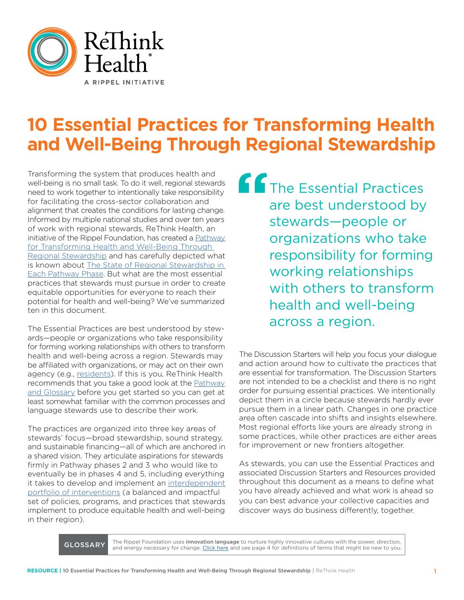

# **10 Essential Practices for Transforming Health and Well-Being Through Regional Stewardship**

Transforming the system that produces health and well-being is no small task. To do it well, regional stewards need to work together to intentionally take responsibility for facilitating the cross-sector collaboration and alignment that creates the conditions for lasting change. Informed by multiple national studies and over ten years of work with regional stewards, ReThink Health, an initiative of the Rippel Foundation, has created a [Pathway](https://www.rethinkhealth.org/resources-list/pathway/) [for Transforming Health and Well-Being Through](https://www.rethinkhealth.org/resources-list/pathway/)  [Regional Stewardship](https://www.rethinkhealth.org/resources-list/pathway/) and has carefully depicted what is known about [The State of Regional Stewardship in](https://www.rethinkhealth.org/wp-content/uploads/2018/11/RTH-PathwayPracticesEachPhase_11272018-1.pdf)  [Each Pathway Phase](https://www.rethinkhealth.org/wp-content/uploads/2018/11/RTH-PathwayPracticesEachPhase_11272018-1.pdf). But what are the most essential practices that stewards must pursue in order to create equitable opportunities for everyone to reach their potential for health and well-being? We've summarized ten in this document.

The Essential Practices are best understood by stewards—people or organizations who take responsibility for forming working relationships with others to transform health and well-being across a region. Stewards may be affiliated with organizations, or may act on their own agency (e.g., [residents\)](https://www.rethinkhealth.org/the-rethinkers-blog/exploring-resident-engagement-for-health-system-transformation/). If this is you, ReThink Health recommends that you take a good look at the [Pathway](https://www.rethinkhealth.org/wp-content/uploads/2018/11/RTH-PathwayPracticesEachPhase_11272018-1.pdf) [and Glossary](https://www.rethinkhealth.org/wp-content/uploads/2018/11/RTH-PathwayPracticesEachPhase_11272018-1.pdf) before you get started so you can get at least somewhat familiar with the common processes and language stewards use to describe their work.

The practices are organized into three key areas of stewards' focus—broad stewardship, sound strategy, and sustainable financing—all of which are anchored in a shared vision. They articulate aspirations for stewards firmly in Pathway phases 2 and 3 who would like to eventually be in phases 4 and 5, including everything it takes to develop and implement an [interdependent](http://interdependent portfolio of interventions)  [portfolio of interventions](http://interdependent portfolio of interventions) (a balanced and impactful set of policies, programs, and practices that stewards implement to produce equitable health and well-being in their region).

**f** The Essential Practices are best understood by stewards—people or organizations who take responsibility for forming working relationships with others to transform health and well-being across a region.

The Discussion Starters will help you focus your dialogue and action around how to cultivate the practices that are essential for transformation. The Discussion Starters are not intended to be a checklist and there is no right order for pursuing essential practices. We intentionally depict them in a circle because stewards hardly ever pursue them in a linear path. Changes in one practice area often cascade into shifts and insights elsewhere. Most regional efforts like yours are already strong in some practices, while other practices are either areas for improvement or new frontiers altogether.

As stewards, you can use the Essential Practices and associated Discussion Starters and Resources provided throughout this document as a means to define what you have already achieved and what work is ahead so you can best advance your collective capacities and discover ways do business differently, together.

GLOSSARY The Rippel Foundation uses innovation language to nurture highly innovative cultures with the power, direction,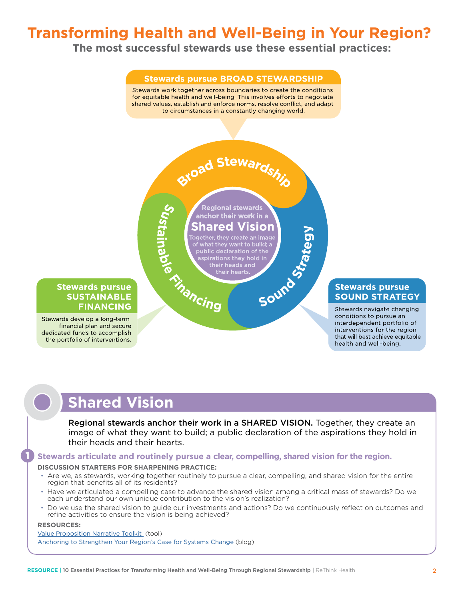# **Transforming Health and Well-Being in Your Region?**

**The most successful stewards use these essential practices:**



# **Shared Vision**

Regional stewards anchor their work in a SHARED VISION. Together, they create an image of what they want to build; a public declaration of the aspirations they hold in their heads and their hearts.

## **Stewards articulate and routinely pursue a clear, compelling, shared vision for the region.**

#### **DISCUSSION STARTERS FOR SHARPENING PRACTICE:**

- Are we, as stewards, working together routinely to pursue a clear, compelling, and shared vision for the entire region that benefits all of its residents?
- Have we articulated a compelling case to advance the shared vision among a critical mass of stewards? Do we each understand our own unique contribution to the vision's realization?
- Do we use the shared vision to guide our investments and actions? Do we continuously reflect on outcomes and refine activities to ensure the vision is being achieved?

#### **RESOURCES:**

**1**

[Value Proposition Narrative Toolkit](https://www.rethinkhealth.org/resources/developing-a-value-proposition-narrative-toolkit/) (tool) [Anchoring to Strengthen Your Region's Case for Systems Change](https://www.rethinkhealth.org/the-rethinkers-blog/anchoring-to-strengthen-your-regions-case-for-systems-change/) (blog)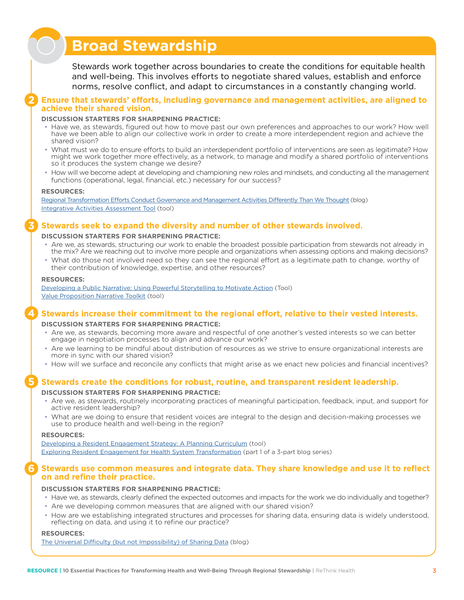# **Broad Stewardship**

Stewards work together across boundaries to create the conditions for equitable health and well-being. This involves efforts to negotiate shared values, establish and enforce norms, resolve conflict, and adapt to circumstances in a constantly changing world.

### **Ensure that stewards' efforts, including governance and management activities, are aligned to achieve their shared vision.**

#### **DISCUSSION STARTERS FOR SHARPENING PRACTICE:**

- Have we, as stewards, figured out how to move past our own preferences and approaches to our work? How well have we been able to align our collective work in order to create a more interdependent region and achieve the shared vision?
- What must we do to ensure efforts to build an interdependent portfolio of interventions are seen as legitimate? How might we work together more effectively, as a network, to manage and modify a shared portfolio of interventions so it produces the system change we desire?
- How will we become adept at developing and championing new roles and mindsets, and conducting all the management functions (operational, legal, financial, etc.) necessary for our success?

#### **RESOURCES:**

**2**

**3**

[Regional Transformation Efforts Conduct Governance and Management Activities Differently Than We Thought](https://www.rethinkhealth.org/the-rethinkers-blog/financing-the-governance-and-management-activities-necessary-to-coordinate-regional-transformation-efforts/) (blog) [Integrative Activities Assessment Tool](https://www.rethinkhealth.org/wp-content/uploads/2019/01/RTH-IntegrativeActivitiesTool_1142019.xlsx) (tool)

## **Stewards seek to expand the diversity and number of other stewards involved.**

#### **DISCUSSION STARTERS FOR SHARPENING PRACTICE:**

- Are we, as stewards, structuring our work to enable the broadest possible participation from stewards not already in the mix? Are we reaching out to involve more people and organizations when assessing options and making decisions?
- What do those not involved need so they can see the regional effort as a legitimate path to change, worthy of their contribution of knowledge, expertise, and other resources?

#### **RESOURCES:**

[Developing a Public Narrative: Using Powerful Storytelling to Motivate Action](https://www.rethinkhealth.org/resources/public-narrative-toolkit/) (Tool) [Value Proposition Narrative Toolkit](https://www.rethinkhealth.org/resources/developing-a-value-proposition-narrative-toolkit/) (tool)

## **Stewards increase their commitment to the regional effort, relative to their vested interests.**

#### **DISCUSSION STARTERS FOR SHARPENING PRACTICE:**

- Are we, as stewards, becoming more aware and respectful of one another's vested interests so we can better engage in negotiation processes to align and advance our work?
- Are we learning to be mindful about distribution of resources as we strive to ensure organizational interests are more in sync with our shared vision?
- How will we surface and reconcile any conflicts that might arise as we enact new policies and financial incentives?

## **Stewards create the conditions for robust, routine, and transparent resident leadership.**

#### **DISCUSSION STARTERS FOR SHARPENING PRACTICE:**

- Are we, as stewards, routinely incorporating practices of meaningful participation, feedback, input, and support for active resident leadership?
- What are we doing to ensure that resident voices are integral to the design and decision-making processes we use to produce health and well-being in the region?

#### **RESOURCES:**

**6**

**5**

**4**

[Developing a Resident Engagement Strategy: A Planning Curriculum](https://www.rethinkhealth.org/wp-content/uploads/2018/12/RTH-ResEngageToolkit_12172018.pdf) (tool) [Exploring Resident Engagement for Health System Transformation](https://www.rethinkhealth.org/the-rethinkers-blog/exploring-resident-engagement-for-health-system-transformation/) (part 1 of a 3-part blog series)

### **Stewards use common measures and integrate data. They share knowledge and use it to reflect on and refine their practice.**

#### **DISCUSSION STARTERS FOR SHARPENING PRACTICE:**

- Have we, as stewards, clearly defined the expected outcomes and impacts for the work we do individually and together?
- Are we developing common measures that are aligned with our shared vision?
- How are we establishing integrated structures and processes for sharing data, ensuring data is widely understood, reflecting on data, and using it to refine our practice?

#### **RESOURCES:**

[The Universal Difficulty \(but not Impossibility\) of Sharing Data](https://www.rethinkhealth.org/the-rethinkers-blog/the-universal-difficulty-but-not-impossibility-of-sharing-data/) (blog)